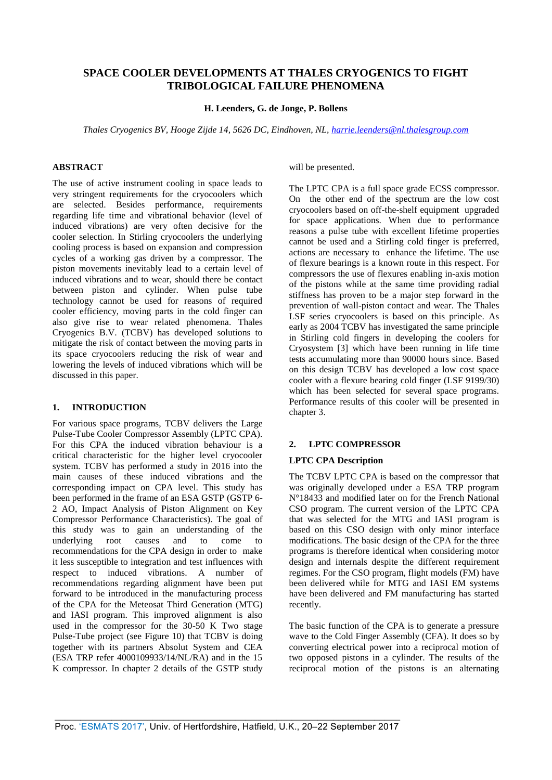# **SPACE COOLER DEVELOPMENTS AT THALES CRYOGENICS TO FIGHT TRIBOLOGICAL FAILURE PHENOMENA**

**H. Leenders, G. de Jonge, P. Bollens**

*Thales Cryogenics BV, Hooge Zijde 14, 5626 DC, Eindhoven, NL, [harrie.leenders@nl.thalesgroup.com](mailto:harrie.leenders@nl.thalesgroup.com)* 

# **ABSTRACT**

The use of active instrument cooling in space leads to very stringent requirements for the cryocoolers which are selected. Besides performance, requirements regarding life time and vibrational behavior (level of induced vibrations) are very often decisive for the cooler selection. In Stirling cryocoolers the underlying cooling process is based on expansion and compression cycles of a working gas driven by a compressor. The piston movements inevitably lead to a certain level of induced vibrations and to wear, should there be contact between piston and cylinder. When pulse tube technology cannot be used for reasons of required cooler efficiency, moving parts in the cold finger can also give rise to wear related phenomena. Thales Cryogenics B.V. (TCBV) has developed solutions to mitigate the risk of contact between the moving parts in its space cryocoolers reducing the risk of wear and lowering the levels of induced vibrations which will be discussed in this paper.

## **1. INTRODUCTION**

For various space programs, TCBV delivers the Large Pulse-Tube Cooler Compressor Assembly (LPTC CPA). For this CPA the induced vibration behaviour is a critical characteristic for the higher level cryocooler system. TCBV has performed a study in 2016 into the main causes of these induced vibrations and the corresponding impact on CPA level. This study has been performed in the frame of an ESA GSTP (GSTP 6- 2 AO, Impact Analysis of Piston Alignment on Key Compressor Performance Characteristics). The goal of this study was to gain an understanding of the underlying root causes and to come to recommendations for the CPA design in order to make it less susceptible to integration and test influences with respect to induced vibrations. A number of recommendations regarding alignment have been put forward to be introduced in the manufacturing process of the CPA for the Meteosat Third Generation (MTG) and IASI program. This improved alignment is also used in the compressor for the 30-50 K Two stage Pulse-Tube project (see [Figure 10\)](#page-4-0) that TCBV is doing together with its partners Absolut System and CEA (ESA TRP refer 4000109933/14/NL/RA) and in the 15 K compressor. In chapter 2 details of the GSTP study will be presented.

The LPTC CPA is a full space grade ECSS compressor. On the other end of the spectrum are the low cost cryocoolers based on off-the-shelf equipment upgraded for space applications. When due to performance reasons a pulse tube with excellent lifetime properties cannot be used and a Stirling cold finger is preferred, actions are necessary to enhance the lifetime. The use of flexure bearings is a known route in this respect. For compressors the use of flexures enabling in-axis motion of the pistons while at the same time providing radial stiffness has proven to be a major step forward in the prevention of wall-piston contact and wear. The Thales LSF series cryocoolers is based on this principle. As early as 2004 TCBV has investigated the same principle in Stirling cold fingers in developing the coolers for Cryosystem [\[3\]](#page-7-0) which have been running in life time tests accumulating more than 90000 hours since. Based on this design TCBV has developed a low cost space cooler with a flexure bearing cold finger (LSF 9199/30) which has been selected for several space programs. Performance results of this cooler will be presented in chapter 3.

## **2. LPTC COMPRESSOR**

# **LPTC CPA Description**

The TCBV LPTC CPA is based on the compressor that was originally developed under a ESA TRP program N°18433 and modified later on for the French National CSO program. The current version of the LPTC CPA that was selected for the MTG and IASI program is based on this CSO design with only minor interface modifications. The basic design of the CPA for the three programs is therefore identical when considering motor design and internals despite the different requirement regimes. For the CSO program, flight models (FM) have been delivered while for MTG and IASI EM systems have been delivered and FM manufacturing has started recently.

The basic function of the CPA is to generate a pressure wave to the Cold Finger Assembly (CFA). It does so by converting electrical power into a reciprocal motion of two opposed pistons in a cylinder. The results of the reciprocal motion of the pistons is an alternating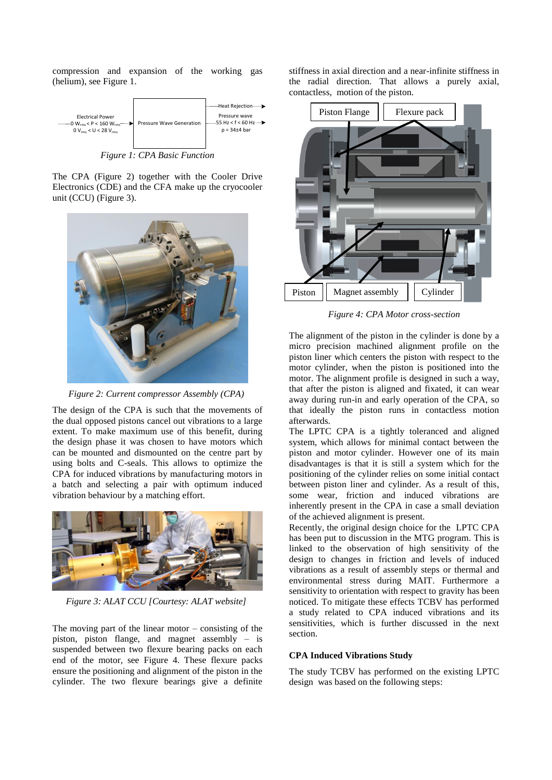compression and expansion of the working gas (helium), see [Figure 1.](#page-1-0)



*Figure 1: CPA Basic Function*

<span id="page-1-0"></span>The CPA [\(Figure 2\)](#page-1-1) together with the Cooler Drive Electronics (CDE) and the CFA make up the cryocooler unit (CCU) [\(Figure 3\)](#page-1-2).



*Figure 2: Current compressor Assembly (CPA)*

<span id="page-1-1"></span>The design of the CPA is such that the movements of the dual opposed pistons cancel out vibrations to a large extent. To make maximum use of this benefit, during the design phase it was chosen to have motors which can be mounted and dismounted on the centre part by using bolts and C-seals. This allows to optimize the CPA for induced vibrations by manufacturing motors in a batch and selecting a pair with optimum induced vibration behaviour by a matching effort.



*Figure 3: ALAT CCU [Courtesy: ALAT website]*

<span id="page-1-2"></span>The moving part of the linear motor  $-$  consisting of the piston, piston flange, and magnet assembly – is suspended between two flexure bearing packs on each end of the motor, see [Figure 4.](#page-1-3) These flexure packs ensure the positioning and alignment of the piston in the cylinder. The two flexure bearings give a definite

stiffness in axial direction and a near-infinite stiffness in the radial direction. That allows a purely axial, contactless, motion of the piston.



*Figure 4: CPA Motor cross-section*

<span id="page-1-3"></span>The alignment of the piston in the cylinder is done by a micro precision machined alignment profile on the piston liner which centers the piston with respect to the motor cylinder, when the piston is positioned into the motor. The alignment profile is designed in such a way, that after the piston is aligned and fixated, it can wear away during run-in and early operation of the CPA, so that ideally the piston runs in contactless motion afterwards.

The LPTC CPA is a tightly toleranced and aligned system, which allows for minimal contact between the piston and motor cylinder. However one of its main disadvantages is that it is still a system which for the positioning of the cylinder relies on some initial contact between piston liner and cylinder. As a result of this, some wear, friction and induced vibrations are inherently present in the CPA in case a small deviation of the achieved alignment is present.

Recently, the original design choice for the LPTC CPA has been put to discussion in the MTG program. This is linked to the observation of high sensitivity of the design to changes in friction and levels of induced vibrations as a result of assembly steps or thermal and environmental stress during MAIT. Furthermore a sensitivity to orientation with respect to gravity has been noticed. To mitigate these effects TCBV has performed a study related to CPA induced vibrations and its sensitivities, which is further discussed in the next section.

# **CPA Induced Vibrations Study**

The study TCBV has performed on the existing LPTC design was based on the following steps: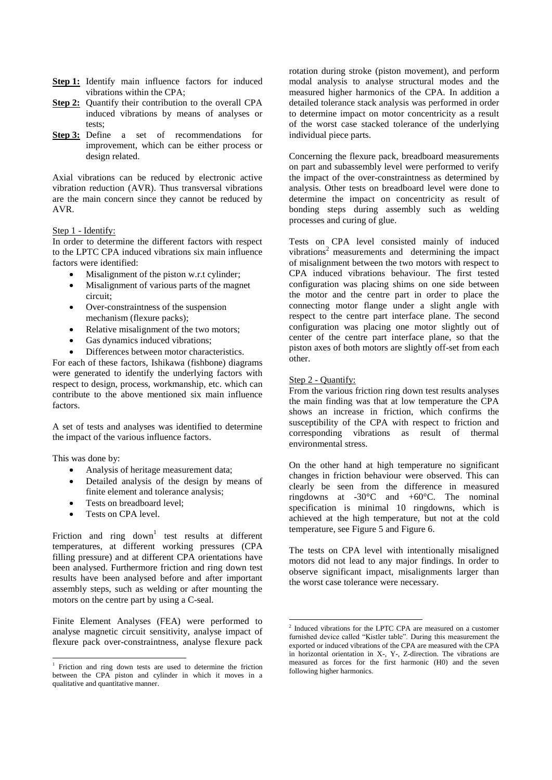- **Step 1:** Identify main influence factors for induced vibrations within the CPA;
- **Step 2:** Quantify their contribution to the overall CPA induced vibrations by means of analyses or tests;
- **Step 3:** Define a set of recommendations for improvement, which can be either process or design related.

Axial vibrations can be reduced by electronic active vibration reduction (AVR). Thus transversal vibrations are the main concern since they cannot be reduced by AVR.

# Step 1 - Identify:

In order to determine the different factors with respect to the LPTC CPA induced vibrations six main influence factors were identified:

- Misalignment of the piston w.r.t cylinder;
- Misalignment of various parts of the magnet circuit;
- Over-constraintness of the suspension mechanism (flexure packs);
- Relative misalignment of the two motors;
- Gas dynamics induced vibrations;
- Differences between motor characteristics.

For each of these factors, Ishikawa (fishbone) diagrams were generated to identify the underlying factors with respect to design, process, workmanship, etc. which can contribute to the above mentioned six main influence factors.

A set of tests and analyses was identified to determine the impact of the various influence factors.

This was done by:

1

- Analysis of heritage measurement data;
- Detailed analysis of the design by means of finite element and tolerance analysis;
- Tests on breadboard level;
- Tests on CPA level.

Friction and ring down<sup>1</sup> test results at different temperatures, at different working pressures (CPA filling pressure) and at different CPA orientations have been analysed. Furthermore friction and ring down test results have been analysed before and after important assembly steps, such as welding or after mounting the motors on the centre part by using a C-seal.

Finite Element Analyses (FEA) were performed to analyse magnetic circuit sensitivity, analyse impact of flexure pack over-constraintness, analyse flexure pack rotation during stroke (piston movement), and perform modal analysis to analyse structural modes and the measured higher harmonics of the CPA. In addition a detailed tolerance stack analysis was performed in order to determine impact on motor concentricity as a result of the worst case stacked tolerance of the underlying individual piece parts.

Concerning the flexure pack, breadboard measurements on part and subassembly level were performed to verify the impact of the over-constraintness as determined by analysis. Other tests on breadboard level were done to determine the impact on concentricity as result of bonding steps during assembly such as welding processes and curing of glue.

Tests on CPA level consisted mainly of induced vibrations<sup>2</sup> measurements and determining the impact of misalignment between the two motors with respect to CPA induced vibrations behaviour. The first tested configuration was placing shims on one side between the motor and the centre part in order to place the connecting motor flange under a slight angle with respect to the centre part interface plane. The second configuration was placing one motor slightly out of center of the centre part interface plane, so that the piston axes of both motors are slightly off-set from each other.

# Step 2 - Quantify:

From the various friction ring down test results analyses the main finding was that at low temperature the CPA shows an increase in friction, which confirms the susceptibility of the CPA with respect to friction and corresponding vibrations as result of thermal environmental stress.

On the other hand at high temperature no significant changes in friction behaviour were observed. This can clearly be seen from the difference in measured ringdowns at -30°C and +60°C. The nominal specification is minimal 10 ringdowns, which is achieved at the high temperature, but not at the cold temperature, see [Figure 5](#page-3-0) and [Figure 6.](#page-3-1)

The tests on CPA level with intentionally misaligned motors did not lead to any major findings. In order to observe significant impact, misalignments larger than the worst case tolerance were necessary.

<sup>1</sup> Friction and ring down tests are used to determine the friction between the CPA piston and cylinder in which it moves in a qualitative and quantitative manner.

 2 Induced vibrations for the LPTC CPA are measured on a customer furnished device called "Kistler table". During this measurement the exported or induced vibrations of the CPA are measured with the CPA in horizontal orientation in X-, Y-, Z-direction. The vibrations are measured as forces for the first harmonic (H0) and the seven following higher harmonics.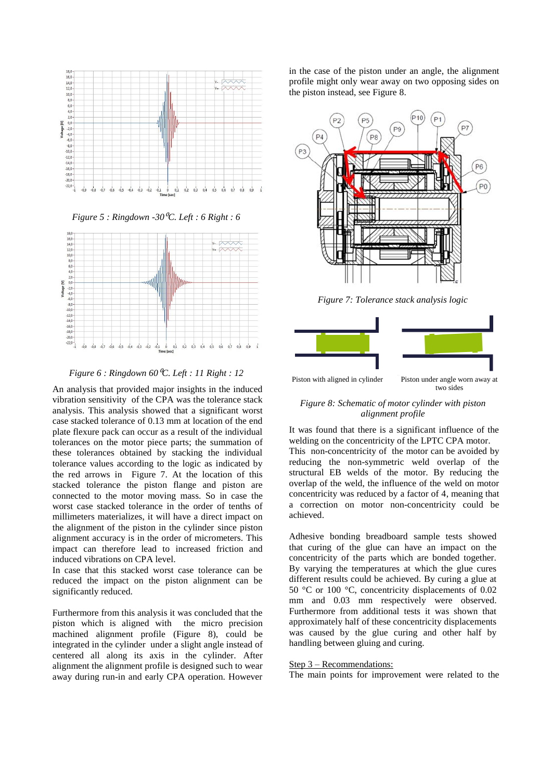

*Figure 5 : Ringdown -30*<sup>⁰</sup>*C. Left : 6 Right : 6* 

<span id="page-3-0"></span>

<span id="page-3-1"></span>*Figure 6 : Ringdown 60*<sup>⁰</sup>*C. Left : 11 Right : 12* 

An analysis that provided major insights in the induced vibration sensitivity of the CPA was the tolerance stack analysis. This analysis showed that a significant worst case stacked tolerance of 0.13 mm at location of the end plate flexure pack can occur as a result of the individual tolerances on the motor piece parts; the summation of these tolerances obtained by stacking the individual tolerance values according to the logic as indicated by the red arrows in [Figure 7.](#page-3-2) At the location of this stacked tolerance the piston flange and piston are connected to the motor moving mass. So in case the worst case stacked tolerance in the order of tenths of millimeters materializes, it will have a direct impact on the alignment of the piston in the cylinder since piston alignment accuracy is in the order of micrometers. This impact can therefore lead to increased friction and induced vibrations on CPA level.

In case that this stacked worst case tolerance can be reduced the impact on the piston alignment can be significantly reduced.

Furthermore from this analysis it was concluded that the piston which is aligned with the micro precision machined alignment profile [\(Figure 8\)](#page-3-3), could be integrated in the cylinder under a slight angle instead of centered all along its axis in the cylinder. After alignment the alignment profile is designed such to wear away during run-in and early CPA operation. However

in the case of the piston under an angle, the alignment profile might only wear away on two opposing sides on the piston instead, see [Figure 8.](#page-3-3)



*Figure 7: Tolerance stack analysis logic*

<span id="page-3-2"></span>

Piston with aligned in cylinder Piston under angle worn away at two sides

# <span id="page-3-3"></span>*Figure 8: Schematic of motor cylinder with piston alignment profile*

It was found that there is a significant influence of the welding on the concentricity of the LPTC CPA motor. This non-concentricity of the motor can be avoided by reducing the non-symmetric weld overlap of the structural EB welds of the motor. By reducing the overlap of the weld, the influence of the weld on motor concentricity was reduced by a factor of 4, meaning that a correction on motor non-concentricity could be achieved.

Adhesive bonding breadboard sample tests showed that curing of the glue can have an impact on the concentricity of the parts which are bonded together. By varying the temperatures at which the glue cures different results could be achieved. By curing a glue at 50 °C or 100 °C, concentricity displacements of 0.02 mm and 0.03 mm respectively were observed. Furthermore from additional tests it was shown that approximately half of these concentricity displacements was caused by the glue curing and other half by handling between gluing and curing.

#### Step 3 – Recommendations:

The main points for improvement were related to the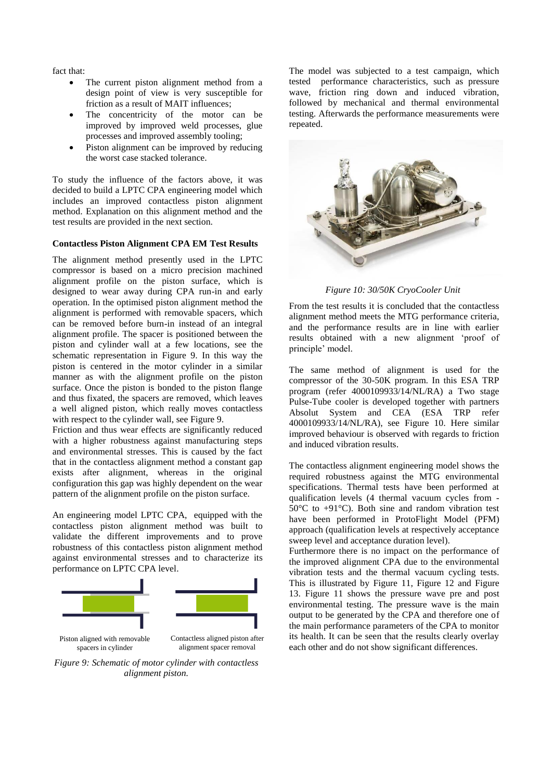fact that:

- The current piston alignment method from a design point of view is very susceptible for friction as a result of MAIT influences;
- The concentricity of the motor can be improved by improved weld processes, glue processes and improved assembly tooling;
- Piston alignment can be improved by reducing the worst case stacked tolerance.

To study the influence of the factors above, it was decided to build a LPTC CPA engineering model which includes an improved contactless piston alignment method. Explanation on this alignment method and the test results are provided in the next section.

## **Contactless Piston Alignment CPA EM Test Results**

The alignment method presently used in the LPTC compressor is based on a micro precision machined alignment profile on the piston surface, which is designed to wear away during CPA run-in and early operation. In the optimised piston alignment method the alignment is performed with removable spacers, which can be removed before burn-in instead of an integral alignment profile. The spacer is positioned between the piston and cylinder wall at a few locations, see the schematic representation in [Figure 9.](#page-4-1) In this way the piston is centered in the motor cylinder in a similar manner as with the alignment profile on the piston surface. Once the piston is bonded to the piston flange and thus fixated, the spacers are removed, which leaves a well aligned piston, which really moves contactless with respect to the cylinder wall, see [Figure 9.](#page-4-1)

Friction and thus wear effects are significantly reduced with a higher robustness against manufacturing steps and environmental stresses. This is caused by the fact that in the contactless alignment method a constant gap exists after alignment, whereas in the original configuration this gap was highly dependent on the wear pattern of the alignment profile on the piston surface.

An engineering model LPTC CPA, equipped with the contactless piston alignment method was built to validate the different improvements and to prove robustness of this contactless piston alignment method against environmental stresses and to characterize its performance on LPTC CPA level.



<span id="page-4-1"></span>*Figure 9: Schematic of motor cylinder with contactless alignment piston.*

The model was subjected to a test campaign, which tested performance characteristics, such as pressure wave, friction ring down and induced vibration, followed by mechanical and thermal environmental testing. Afterwards the performance measurements were repeated.



*Figure 10: 30/50K CryoCooler Unit*

<span id="page-4-0"></span>From the test results it is concluded that the contactless alignment method meets the MTG performance criteria, and the performance results are in line with earlier results obtained with a new alignment 'proof of principle' model.

The same method of alignment is used for the compressor of the 30-50K program. In this ESA TRP program (refer 4000109933/14/NL/RA) a Two stage Pulse-Tube cooler is developed together with partners Absolut System and CEA (ESA TRP refer 4000109933/14/NL/RA), see [Figure 10.](#page-4-0) Here similar improved behaviour is observed with regards to friction and induced vibration results.

The contactless alignment engineering model shows the required robustness against the MTG environmental specifications. Thermal tests have been performed at qualification levels (4 thermal vacuum cycles from - 50°C to +91°C). Both sine and random vibration test have been performed in ProtoFlight Model (PFM) approach (qualification levels at respectively acceptance sweep level and acceptance duration level).

Furthermore there is no impact on the performance of the improved alignment CPA due to the environmental vibration tests and the thermal vacuum cycling tests. This is illustrated by [Figure 11,](#page-5-0) [Figure 12](#page-5-1) and [Figure](#page-5-2)  [13.](#page-5-2) [Figure 11](#page-5-0) shows the pressure wave pre and post environmental testing. The pressure wave is the main output to be generated by the CPA and therefore one of the main performance parameters of the CPA to monitor its health. It can be seen that the results clearly overlay each other and do not show significant differences.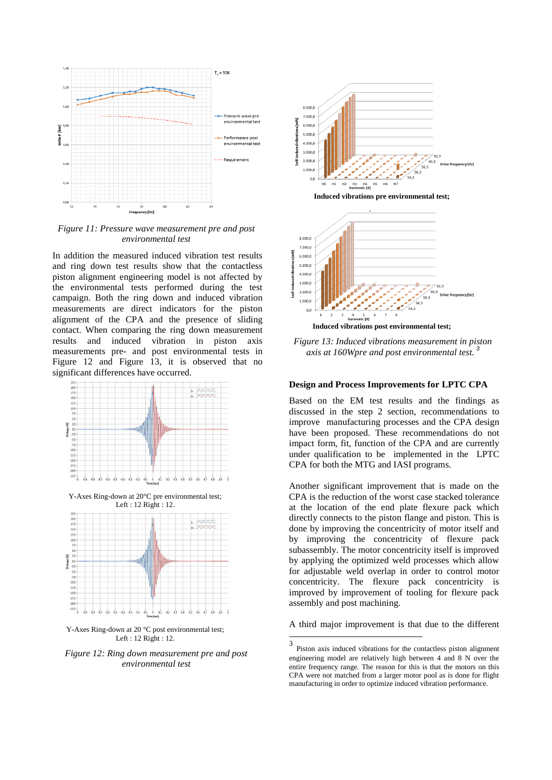

<span id="page-5-0"></span>*Figure 11: Pressure wave measurement pre and post environmental test*

In addition the measured induced vibration test results and ring down test results show that the contactless piston alignment engineering model is not affected by the environmental tests performed during the test campaign. Both the ring down and induced vibration measurements are direct indicators for the piston alignment of the CPA and the presence of sliding contact. When comparing the ring down measurement results and induced vibration in piston axis measurements pre- and post environmental tests in [Figure 12](#page-5-1) and [Figure 13,](#page-5-2) it is observed that no significant differences have occurred.



Y-Axes Ring-down at 20°C pre environmental test; Left : 12 Right : 12.



Y-Axes Ring-down at 20 °C post environmental test; Left : 12 Right : 12.

<span id="page-5-1"></span>*Figure 12: Ring down measurement pre and post environmental test*





**Induced vibrations post environmental test;**

ŧ

<span id="page-5-2"></span>*Figure 13: Induced vibrations measurement in piston axis at 160Wpre and post environmental test. <sup>3</sup>*

### **Design and Process Improvements for LPTC CPA**

Based on the EM test results and the findings as discussed in the step 2 section, recommendations to improve manufacturing processes and the CPA design have been proposed. These recommendations do not impact form, fit, function of the CPA and are currently under qualification to be implemented in the LPTC CPA for both the MTG and IASI programs.

Another significant improvement that is made on the CPA is the reduction of the worst case stacked tolerance at the location of the end plate flexure pack which directly connects to the piston flange and piston. This is done by improving the concentricity of motor itself and by improving the concentricity of flexure pack subassembly. The motor concentricity itself is improved by applying the optimized weld processes which allow for adjustable weld overlap in order to control motor concentricity. The flexure pack concentricity is improved by improvement of tooling for flexure pack assembly and post machining.

A third major improvement is that due to the different

 $\frac{1}{3}$ Piston axis induced vibrations for the contactless piston alignment engineering model are relatively high between 4 and 8 N over the entire frequency range. The reason for this is that the motors on this CPA were not matched from a larger motor pool as is done for flight manufacturing in order to optimize induced vibration performance.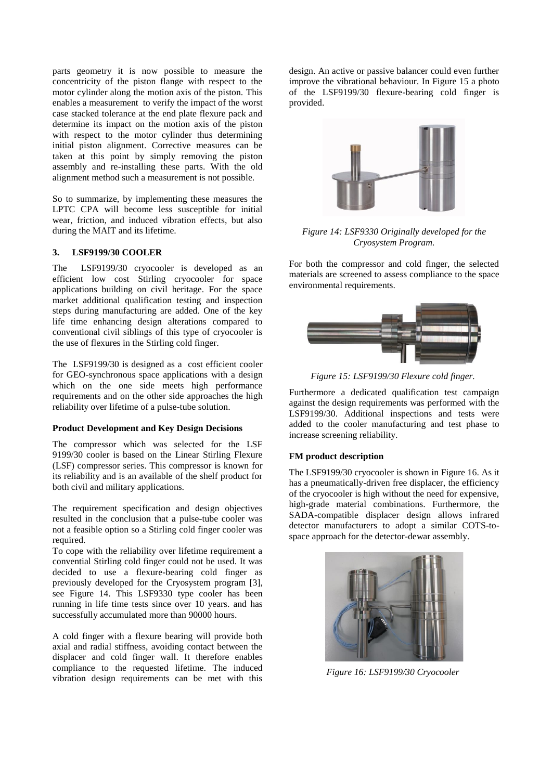parts geometry it is now possible to measure the concentricity of the piston flange with respect to the motor cylinder along the motion axis of the piston. This enables a measurement to verify the impact of the worst case stacked tolerance at the end plate flexure pack and determine its impact on the motion axis of the piston with respect to the motor cylinder thus determining initial piston alignment. Corrective measures can be taken at this point by simply removing the piston assembly and re-installing these parts. With the old alignment method such a measurement is not possible.

So to summarize, by implementing these measures the LPTC CPA will become less susceptible for initial wear, friction, and induced vibration effects, but also during the MAIT and its lifetime.

# **3. LSF9199/30 COOLER**

The LSF9199/30 cryocooler is developed as an efficient low cost Stirling cryocooler for space applications building on civil heritage. For the space market additional qualification testing and inspection steps during manufacturing are added. One of the key life time enhancing design alterations compared to conventional civil siblings of this type of cryocooler is the use of flexures in the Stirling cold finger.

The LSF9199/30 is designed as a cost efficient cooler for GEO-synchronous space applications with a design which on the one side meets high performance requirements and on the other side approaches the high reliability over lifetime of a pulse-tube solution.

## **Product Development and Key Design Decisions**

The compressor which was selected for the LSF 9199/30 cooler is based on the Linear Stirling Flexure (LSF) compressor series. This compressor is known for its reliability and is an available of the shelf product for both civil and military applications.

The requirement specification and design objectives resulted in the conclusion that a pulse-tube cooler was not a feasible option so a Stirling cold finger cooler was required.

To cope with the reliability over lifetime requirement a convential Stirling cold finger could not be used. It was decided to use a flexure-bearing cold finger as previously developed for the Cryosystem program [\[3\]](#page-7-0), see [Figure 14.](#page-6-0) This LSF9330 type cooler has been running in life time tests since over 10 years. and has successfully accumulated more than 90000 hours.

A cold finger with a flexure bearing will provide both axial and radial stiffness, avoiding contact between the displacer and cold finger wall. It therefore enables compliance to the requested lifetime. The induced vibration design requirements can be met with this design. An active or passive balancer could even further improve the vibrational behaviour. In [Figure 15](#page-6-1) a photo of the LSF9199/30 flexure-bearing cold finger is provided.



*Figure 14: LSF9330 Originally developed for the Cryosystem Program.*

<span id="page-6-0"></span>For both the compressor and cold finger, the selected materials are screened to assess compliance to the space environmental requirements.



*Figure 15: LSF9199/30 Flexure cold finger.*

<span id="page-6-1"></span>Furthermore a dedicated qualification test campaign against the design requirements was performed with the LSF9199/30. Additional inspections and tests were added to the cooler manufacturing and test phase to increase screening reliability.

## **FM product description**

The LSF9199/30 cryocooler is shown in [Figure 16.](#page-6-2) As it has a pneumatically-driven free displacer, the efficiency of the cryocooler is high without the need for expensive, high-grade material combinations. Furthermore, the SADA-compatible displacer design allows infrared detector manufacturers to adopt a similar COTS-tospace approach for the detector-dewar assembly.

<span id="page-6-2"></span>

*Figure 16: LSF9199/30 Cryocooler*